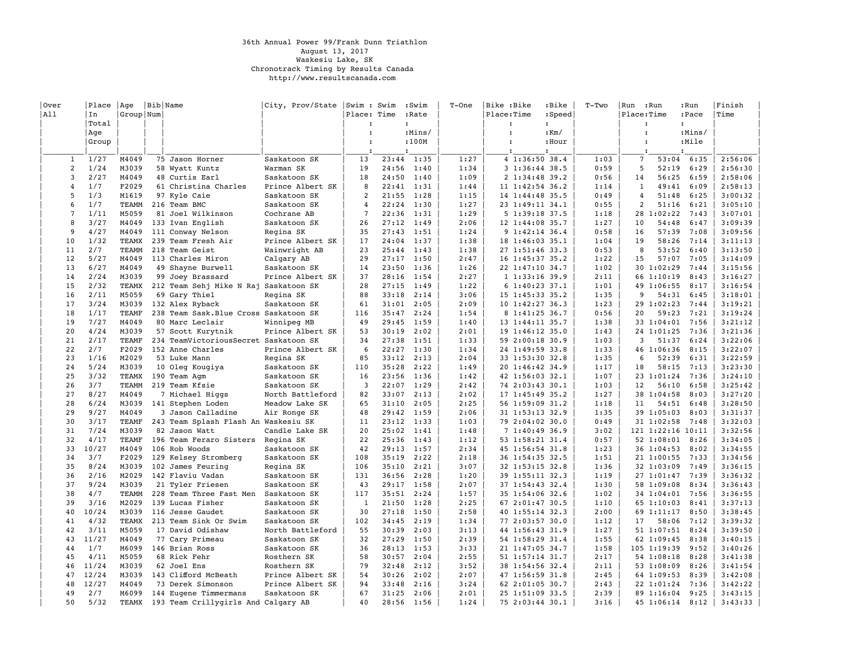## 36th Annual Power 99/Frank Dunn Triathlon August 13, 2017 Waskesiu Lake, SK Chronotrack Timing by Results Canada http://www.resultscanada.com

| Over            | Place | Age          | Bib Name                               | City, Prov/State | Swim : Swim          |       | :Swim                | T-One | Bike :Bike           |                 | :Bike                | $T-TWO$ | Run                  | :Run              | :Run                 | Finish  |
|-----------------|-------|--------------|----------------------------------------|------------------|----------------------|-------|----------------------|-------|----------------------|-----------------|----------------------|---------|----------------------|-------------------|----------------------|---------|
| All             | In    | Group Num    |                                        |                  | Place: Time          |       | :Rate                |       | Place:Time           |                 | :Speed               |         | Place:Time           |                   | :Pace                | Time    |
|                 | Total |              |                                        |                  | $\ddot{\phantom{0}}$ |       | $\ddot{\phantom{a}}$ |       | $\ddot{\phantom{a}}$ |                 | $\ddot{\phantom{a}}$ |         | $\ddot{\phantom{a}}$ |                   | $\ddot{\phantom{a}}$ |         |
|                 | Aqe   |              |                                        |                  | $\cdot$              |       | :Mins/               |       | $\cdot$              |                 | $:$ Km $/$           |         | $\ddot{\phantom{a}}$ |                   | :Mins/               |         |
|                 | Group |              |                                        |                  | $\mathbf{r}$         |       | :100M                |       | $\cdot$              |                 | :Hour                |         | $\cdot$              |                   | :Mile                |         |
|                 |       |              |                                        |                  |                      |       |                      |       |                      |                 |                      |         |                      |                   |                      |         |
|                 |       |              |                                        |                  |                      |       | $\cdot$              |       | $\cdot$              |                 | $\mathbf{r}$         |         | $\cdot$              |                   | $\cdot$              |         |
| 1               | 1/27  | M4049        | 75 Jason Horner                        | Saskatoon SK     | 13                   | 23:44 | 1:35                 | 1:27  |                      | 4 1:36:50 38.4  |                      | 1:03    | $7\phantom{.0}$      | 53:04             | 6:35                 | 2:56:06 |
| 2               | 1/24  | M3039        | 58 Wyatt Kuntz                         | Warman SK        | 19                   | 24:56 | 1:40                 | 1:34  |                      | 3 1:36:44 38.5  |                      | 0:59    | 5                    | 52:19             | 6:29                 | 2:56:30 |
| 3               | 2/27  | M4049        | 48 Curtis Earl                         | Saskatoon SK     | 18                   | 24:50 | 1:40                 | 1:09  |                      | 2 1:34:48 39.2  |                      | 0:56    | 14                   | 56:25             | 6:59                 | 2:58:06 |
| $\overline{4}$  | 1/7   | F2029        | 61 Christina Charles                   | Prince Albert SK | 8                    | 22:41 | 1:31                 | 1:44  |                      | 11 1:42:54 36.2 |                      | 1:14    | 1                    | 49:41             | 6:09                 | 2:58:13 |
| 5               | 1/3   | M1619        | 97 Kyle Caie                           | Saskatoon SK     | $\overline{a}$       | 21:55 | 1:28                 | 1:15  |                      | 14 1:44:48 35.5 |                      | 0:49    | $\overline{4}$       | 51:48             | 6:25                 | 3:00:32 |
| 6               | 1/7   | TEAMM        | 216 Team BMC                           | Saskatoon SK     | 4                    | 22:24 | 1:30                 | 1:27  |                      | 23 1:49:11 34.1 |                      | 0:55    | 2                    | 51:16             | 6:21                 | 3:05:10 |
| $7\phantom{.0}$ | 1/11  | M5059        | 81 Joel Wilkinson                      | Cochrane AB      | $\overline{7}$       | 22:36 | 1:31                 | 1:29  |                      | 5 1:39:18 37.5  |                      | 1:18    |                      | 28 1:02:22        | 7:43                 | 3:07:01 |
| 8               | 3/27  | M4049        | 133 Ivan English                       | Saskatoon SK     | 26                   | 27:12 | 1:49                 | 2:06  |                      | 12 1:44:08 35.7 |                      | 1:27    | 10                   | 54:48             | 6:47                 | 3:09:39 |
| 9               | 4/27  | M4049        | 111 Conway Nelson                      | Regina SK        | 35                   | 27:43 | 1:51                 | 1:24  |                      | 9 1:42:14 36.4  |                      | 0:58    | 16                   | 57:39             | 7:08                 | 3:09:56 |
| 10              | 1/32  | TEAMX        | 239 Team Fresh Air                     | Prince Albert SK | 17                   | 24:04 | 1:37                 | 1:38  |                      | 18 1:46:03 35.1 |                      | 1:04    | 19                   | 58:26             | 7:14                 | 3:11:13 |
| 11              | 2/7   | TEAMM        | 218 Team Geist                         | Wainwright AB    | 23                   | 25:44 | 1:43                 | 1:38  |                      | 27 1:51:46 33.3 |                      | 0:53    | 8                    | 53:52             | 6:40                 | 3:13:50 |
|                 |       |              |                                        |                  | 29                   |       |                      |       |                      |                 |                      |         |                      |                   |                      |         |
| 12              | 5/27  | M4049        | 113 Charles Miron                      | Calgary AB       |                      | 27:17 | 1:50                 | 2:47  |                      | 16 1:45:37 35.2 |                      | 1:22    | 15                   | 57:07             | 7:05                 | 3:14:09 |
| 13              | 6/27  | M4049        | 49 Shayne Burwell                      | Saskatoon SK     | 14                   | 23:50 | 1:36                 | 1:26  |                      | 22 1:47:10 34.7 |                      | 1:02    |                      | 30 1:02:29        | 7:44                 | 3:15:56 |
| 14              | 2/24  | M3039        | 99 Joey Brassard                       | Prince Albert SK | 37                   | 28:16 | 1:54                 | 2:27  |                      | 11:33:1639.9    |                      | 2:11    |                      | 66 1:10:19        | 8:43                 | 3:16:27 |
| 15              | 2/32  | TEAMX        | 212 Team Sehj Mike N Raj Saskatoon SK  |                  | 28                   | 27:15 | 1:49                 | 1:22  |                      | 6 1:40:23 37.1  |                      | 1:01    |                      | 49 1:06:55        | 8:17                 | 3:16:54 |
| 16              | 2/11  | M5059        | 69 Gary Thiel                          | Regina SK        | 88                   | 33:18 | 2:14                 | 3:06  |                      | 15 1:45:33 35.2 |                      | 1:35    | 9                    | 54:31             | 6:45                 | 3:18:01 |
| 17              | 3/24  | M3039        | 132 Alex Ryback                        | Saskatoon SK     | 61                   | 31:01 | 2:05                 | 2:09  |                      | 10 1:42:27 36.3 |                      | 1:23    |                      | 29 1:02:23        | 7:44                 | 3:19:21 |
| 18              | 1/17  | TEAMF        | 238 Team Sask. Blue Cross Saskatoon SK |                  | 116                  | 35:47 | 2:24                 | 1:54  |                      | 8 1:41:25 36.7  |                      | 0:56    | 20                   | 59:23             | 7:21                 | 3:19:24 |
| 19              | 7/27  | M4049        | 80 Marc Leclair                        | Winnipeg MB      | 49                   | 29:45 | 1:59                 | 1:40  |                      | 13 1:44:11 35.7 |                      | 1:38    |                      | 33 1:04:01        | 7:56                 | 3:21:12 |
| 20              | 4/24  | M3039        | 57 Scott Kurytnik                      | Prince Albert SK | 53                   | 30:19 | 2:02                 | 2:01  |                      | 19 1:46:12 35.0 |                      | 1:43    |                      | 24 1:01:25        | 7:36                 | 3:21:36 |
| 21              | 2/17  | <b>TEAMF</b> | 234 TeamVictoriousSecret Saskatoon SK  |                  | 34                   | 27:38 | 1:51                 | 1:33  |                      | 59 2:00:18 30.9 |                      | 1:03    | 3                    | 51:37             | 6:24                 | 3:22:06 |
| 22              | 2/7   | F2029        | 152 Anne Charles                       | Prince Albert SK | 6                    | 22:27 | 1:30                 | 1:34  |                      | 24 1:49:59 33.8 |                      | 1:33    |                      | 46 1:06:36        | 8:15                 | 3:22:07 |
| 23              | 1/16  | M2029        | 53 Luke Mann                           | Regina SK        | 85                   | 33:12 | 2:13                 | 2:04  |                      | 33 1:53:30 32.8 |                      | 1:35    | 6                    | 52:39             | 6:31                 | 3:22:59 |
| 24              | 5/24  | M3039        | 10 Oleg Kougiya                        | Saskatoon SK     | 110                  | 35:28 | 2:22                 | 1:49  |                      | 20 1:46:42 34.9 |                      | 1:17    | 18                   | 58:15             | 7:13                 | 3:23:30 |
| 25              | 3/32  | TEAMX        | 190 Team Agm                           | Saskatoon SK     | 16                   | 23:56 | 1:36                 | 1:42  |                      | 42 1:56:03 32.1 |                      | 1:07    |                      | 23 1:01:24        | 7:36                 | 3:24:10 |
| 26              | 3/7   | TEAMM        | 219 Team Kfsie                         | Saskatoon SK     | 3                    | 22:07 | 1:29                 | 2:42  |                      | 74 2:03:43 30.1 |                      | 1:03    | 12                   | 56:10             | 6:58                 | 3:25:42 |
| 27              | 8/27  | M4049        | 7 Michael Higgs                        | North Battleford | 82                   | 33:07 | 2:13                 | 2:02  |                      | 17 1:45:49 35.2 |                      | 1:27    |                      | 38 1:04:58        | 8:03                 | 3:27:20 |
| 28              | 6/24  | M3039        |                                        |                  | 65                   |       |                      | 2:25  |                      |                 |                      | 1:18    |                      |                   |                      | 3:28:50 |
|                 |       |              | 141 Stephen Loden                      | Meadow Lake SK   |                      | 31:10 | 2:05                 |       |                      | 56 1:59:09 31.2 |                      |         | 11                   | 54:51             | 6:48                 |         |
| 29              | 9/27  | M4049        | 3 Jason Calladine                      | Air Ronge SK     | 48                   | 29:42 | 1:59                 | 2:06  |                      | 31 1:53:13 32.9 |                      | 1:35    |                      | 39 1:05:03        | 8:03                 | 3:31:37 |
| 30              | 3/17  | TEAMF        | 243 Team Splash Flash An Waskesiu SK   |                  | 11                   | 23:12 | 1:33                 | 1:03  |                      | 79 2:04:02 30.0 |                      | 0:49    |                      | 31 1:02:58 7:48   |                      | 3:32:03 |
| 31              | 7/24  | M3039        | 82 Jason Watt                          | Candle Lake SK   | 20                   | 25:02 | 1:41                 | 1:48  |                      | 7 1:40:49 36.9  |                      | 3:02    |                      | 121 1:22:16 10:11 |                      | 3:32:56 |
| 32              | 4/17  | TEAMF        | 196 Team Feraro Sisters                | Regina SK        | 22                   | 25:36 | 1:43                 | 1:12  |                      | 53 1:58:21 31.4 |                      | 0:57    |                      | 52 1:08:01 8:26   |                      | 3:34:05 |
| 33              | 10/27 | M4049        | 106 Rob Woods                          | Saskatoon SK     | 42                   | 29:13 | 1:57                 | 2:34  |                      | 45 1:56:54 31.8 |                      | 1:23    |                      | 36 1:04:53        | 8:02                 | 3:34:55 |
| 34              | 3/7   | F2029        | 129 Kelsey Stromberg                   | Saskatoon SK     | 108                  | 35:19 | 2:22                 | 2:18  |                      | 36 1:54:35 32.5 |                      | 1:51    |                      | 21 1:00:55        | 7:33                 | 3:34:56 |
| 35              | 8/24  | M3039        | 102 James Feuring                      | Regina SK        | 106                  | 35:10 | 2:21                 | 3:07  |                      | 32 1:53:15 32.8 |                      | 1:36    |                      | 32 1:03:09        | 7:49                 | 3:36:15 |
| 36              | 2/16  | M2029        | 142 Flaviu Vadan                       | Saskatoon SK     | 131                  | 36:56 | 2:28                 | 1:20  |                      | 39 1:55:11 32.3 |                      | 1:19    |                      | 27 1:01:47 7:39   |                      | 3:36:32 |
| 37              | 9/24  | M3039        | 21 Tyler Friesen                       | Saskatoon SK     | 43                   | 29:17 | 1:58                 | 2:07  |                      | 37 1:54:43 32.4 |                      | 1:30    |                      | 58 1:09:08        | 8:34                 | 3:36:43 |
| 38              | 4/7   | TEAMM        | 228 Team Three Fast Men                | Saskatoon SK     | 117                  | 35:51 | 2:24                 | 1:57  |                      | 35 1:54:06 32.6 |                      | 1:02    |                      | 34 1:04:01        | 7:56                 | 3:36:55 |
| 39              | 3/16  | M2029        | 139 Lucas Fisher                       | Saskatoon SK     | $\mathbf{1}$         | 21:50 | 1:28                 | 2:25  |                      | 67 2:01:47 30.5 |                      | 1:10    |                      | 65 1:10:03        | 8:41                 | 3:37:13 |
| 40              | 10/24 | M3039        | 116 Jesse Gaudet                       | Saskatoon SK     | 30                   | 27:18 | 1:50                 | 2:58  |                      | 40 1:55:14 32.3 |                      | 2:00    |                      | 69 1:11:17        | 8:50                 | 3:38:45 |
| 41              | 4/32  | TEAMX        | 213 Team Sink Or Swim                  | Saskatoon SK     | 102                  | 34:45 | 2:19                 | 1:34  |                      | 77 2:03:57 30.0 |                      | 1:12    | 17                   | 58:06             | 7:12                 | 3:39:32 |
| 42              | 3/11  | M5059        | 17 David Odishaw                       | North Battleford | 55                   | 30:39 | 2:03                 | 3:13  |                      | 44 1:56:43 31.9 |                      | 1:27    |                      | 51 1:07:51        | 8:24                 | 3:39:50 |
| 43              | 11/27 | M4049        | 77 Cary Primeau                        | Saskatoon SK     | 32                   | 27:29 | 1:50                 | 2:39  |                      | 54 1:58:29 31.4 |                      | 1:55    |                      | 62 1:09:45        | 8:38                 | 3:40:15 |
| 44              | 1/7   | M6099        | 146 Brian Ross                         | Saskatoon SK     | 36                   | 28:13 | 1:53                 | 3:33  |                      | 21 1:47:05 34.7 |                      | 1:58    |                      | 105 1:19:39       | 9:52                 | 3:40:26 |
| 45              | 4/11  | M5059        |                                        |                  | 58                   | 30:57 |                      | 2:55  |                      |                 |                      | 2:17    |                      |                   | 8:28                 | 3:41:38 |
|                 |       |              | 68 Rick Fehr                           | Rosthern SK      |                      |       | 2:04                 |       |                      | 51 1:57:14 31.7 |                      |         |                      | 54 1:08:18        |                      |         |
| 46              | 11/24 | M3039        | 62 Joel Ens                            | Rosthern SK      | 79                   | 32:48 | 2:12                 | 3:52  |                      | 38 1:54:56 32.4 |                      | 2:11    |                      | 53 1:08:09        | 8:26                 | 3:41:54 |
| 47              | 12/24 | M3039        | 143 Clifford McBeath                   | Prince Albert SK | 54                   | 30:26 | 2:02                 | 2:07  |                      | 47 1:56:59 31.8 |                      | 2:45    |                      | 64 1:09:53        | 8:39                 | 3:42:08 |
| 48              | 12/27 | M4049        | 73 Derek Simonson                      | Prince Albert SK | 94                   | 33:48 | 2:16                 | 3:24  |                      | 62 2:01:05 30.7 |                      | 2:43    |                      | 22 1:01:24        | 7:36                 | 3:42:22 |
| 49              | 2/7   | M6099        | 144 Eugene Timmermans                  | Saskatoon SK     | 67                   | 31:25 | 2:06                 | 2:01  |                      | 25 1:51:09 33.5 |                      | 2:39    |                      | 89 1:16:04        | 9:25                 | 3:43:15 |
| 50              | 5/32  | TEAMX        | 193 Team Crillygirls And Calgary AB    |                  | 40                   | 28:56 | 1:56                 | 1:24  |                      | 75 2:03:44 30.1 |                      | 3:16    |                      | 45 1:06:14        | 8:12                 | 3:43:33 |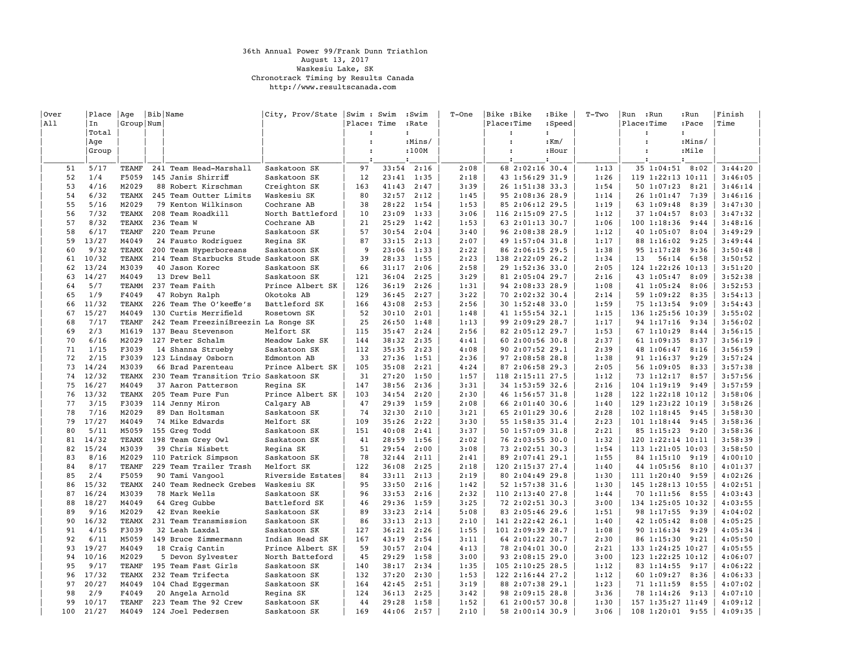## 36th Annual Power 99/Frank Dunn Triathlon August 13, 2017 Waskesiu Lake, SK Chronotrack Timing by Results Canada http://www.resultscanada.com

| Over     | Place         | Age            | Bib Name                                                | City, Prov/State   Swim : Swim |                      |                | :Swim        | $T$ -One     | Bike :Bike                          | :Bike                | $T-TWO$      | :Run<br>Run              | :Run         | Finish             |
|----------|---------------|----------------|---------------------------------------------------------|--------------------------------|----------------------|----------------|--------------|--------------|-------------------------------------|----------------------|--------------|--------------------------|--------------|--------------------|
| All      | In            | Group Num      |                                                         |                                | Place: Time          |                | :Rate        |              | Place:Time                          | :Speed               |              | Place:Time               | :Pace        | Time               |
|          | Total         |                |                                                         |                                | $\ddot{\phantom{a}}$ |                | $\cdot$      |              | $\ddot{\phantom{a}}$                | $\ddot{\phantom{a}}$ |              | $\cdot$                  | $\cdot$      |                    |
|          | Aqe           |                |                                                         |                                | $\ddot{\phantom{a}}$ |                | :Mins/       |              | $\ddot{\phantom{a}}$                | $:$ Km $/$           |              | $\ddot{\phantom{a}}$     | :Mins/       |                    |
|          | Group         |                |                                                         |                                | $\cdot$              |                | :100M        |              | $\ddot{\phantom{a}}$                | :Hour                |              | $\cdot$                  | :Mile        |                    |
|          |               |                |                                                         |                                |                      |                |              |              |                                     |                      |              |                          |              |                    |
| 51       | 5/17          | TEAMF          | 241 Team Head-Marshall                                  | Saskatoon SK                   | 97                   | 33:54          | 2:16         | 2:08         | 68 2:02:16 30.4                     |                      | 1:13         | 35 1:04:51 8:02          |              | 3:44:20            |
| 52<br>53 | 1/4<br>4/16   | F5059<br>M2029 | 145 Janis Shirriff                                      | Saskatoon SK                   | 12                   | 23:41          | 1:35         | 2:18<br>3:39 | 43 1:56:29 31.9                     |                      | 1:26<br>1:54 | 119 1:22:13 10:11        |              | 3:46:05<br>3:46:14 |
|          |               |                | 88 Robert Kirschman                                     | Creighton SK                   | 163                  | 41:43          | 2:47         |              | 26 1:51:38 33.3                     |                      |              | 50 1:07:23               | 8:21         |                    |
| 54<br>55 | 6/32<br>5/16  | TEAMX<br>M2029 | 245 Team Outter Limits<br>79 Kenton Wilkinson           | Waskesiu SK<br>Cochrane AB     | 80<br>38             | 32:57<br>28:22 | 2:12         | 1:45<br>1:53 | 95 2:08:36 28.9                     |                      | 1:14<br>1:19 | 26 1:01:47               | 7:39<br>8:39 | 3:46:16            |
| 56       | 7/32          | <b>TEAMX</b>   | 208 Team Roadkill                                       | North Battleford               | 10                   | 23:09          | 1:54<br>1:33 | 3:06         | 85 2:06:12 29.5<br>116 2:15:09 27.5 |                      | 1:12         | 63 1:09:48<br>37 1:04:57 | 8:03         | 3:47:30<br>3:47:32 |
| 57       | 8/32          | <b>TEAMX</b>   | 236 Team W                                              | Cochrane AB                    | 21                   | 25:29          | 1:42         | 1:53         | 63 2:01:13 30.7                     |                      | 1:06         | 100 1:18:36              | 9:44         | 3:48:16            |
| 58       | 6/17          | <b>TEAMF</b>   | 220 Team Prune                                          | Saskatoon SK                   | 57                   | 30:54          | 2:04         | 3:40         | 96 2:08:38 28.9                     |                      | 1:12         | 40 1:05:07               | 8:04         | 3:49:29            |
| 59       | 13/27         | M4049          | 24 Fausto Rodriquez                                     |                                | 87                   | 33:15          | 2:13         | 2:07         | 49 1:57:04 31.8                     |                      | 1:17         |                          | 9:25         | 3:49:44            |
| 60       | 9/32          | TEAMX          |                                                         | Regina SK                      | 9                    | 23:06          | 1:33         | 2:22         | 86 2:06:15 29.5                     |                      | 1:38         | 88 1:16:02<br>95 1:17:28 | 9:36         | 3:50:48            |
| 61       | 10/32         | TEAMX          | 200 Team Hyperboreans                                   | Saskatoon SK                   | 39                   | 28:33          | 1:55         | 2:23         | 138 2:22:09 26.2                    |                      | 1:34         | 13<br>56:14              | 6:58         | 3:50:52            |
| 62       | 13/24         | M3039          | 214 Team Starbucks Stude Saskatoon SK<br>40 Jason Korec | Saskatoon SK                   | 66                   | 31:17          | 2:06         | 2:58         | 29 1:52:36 33.0                     |                      | 2:05         | 124 1:22:26 10:13        |              | 3:51:20            |
| 63       | 14/27         | M4049          | 13 Drew Bell                                            |                                | 121                  | 36:04          | 2:25         | 3:29         |                                     |                      | 2:16         |                          | 8:09         | 3:52:38            |
| 64       | 5/7           | TEAMM          |                                                         | Saskatoon SK                   | 126                  | 36:19          |              |              | 81 2:05:04 29.7                     |                      |              | 43 1:05:47               | 8:06         |                    |
| 65       | 1/9           | F4049          | 237 Team Faith                                          | Prince Albert SK<br>Okotoks AB | 129                  | 36:45          | 2:26         | 1:31<br>3:22 | 94 2:08:33 28.9                     |                      | 1:08<br>2:14 | 41 1:05:24               | 8:35         | 3:52:53<br>3:54:13 |
|          | 11/32         |                | 47 Robyn Ralph                                          |                                |                      |                | 2:27         |              | 70 2:02:32 30.4                     |                      |              | 59 1:09:22               | 9:09         |                    |
| 66       | 15/27         | TEAMX          | 226 Team The O'keeffe's<br>130 Curtis Merrifield        | Battleford SK                  | 166<br>52            | 43:08          | 2:53         | 2:56         | 30 1:52:48 33.0                     |                      | 1:59         | 75 1:13:54               |              | 3:54:43<br>3:55:02 |
| 67<br>68 |               | M4049          |                                                         | Rosetown SK                    |                      | 30:10          | 2:01         | 1:48         | 41 1:55:54 32.1                     |                      | 1:15         | 136 1:25:56 10:39        |              |                    |
| 69       | 7/17          | TEAMF          | 242 Team FreeziníBreezin La Ronge SK                    |                                | 25                   | 26:50          | 1:48         | 1:13         | 99 2:09:29 28.7                     |                      | 1:17         | 94 1:17:16               | 9:34         | 3:56:02            |
| 70       | 2/3<br>6/16   | M1619          | 137 Beau Stevenson                                      | Melfort SK                     | 115                  | 35:47          | 2:24<br>2:35 | 2:56         | 82 2:05:12 29.7                     |                      | 1:53<br>2:37 | 67 1:10:29               | 8:44         | 3:56:15<br>3:56:19 |
|          |               | M2029          | 127 Peter Schalm                                        | Meadow Lake SK                 | 144                  | 38:32          |              | 4:41         | 60 2:00:56 30.8                     |                      |              | 61 1:09:35               | 8:37         |                    |
| 71       | 1/15          | F3039          | 14 Shanna Strueby                                       | Saskatoon SK                   | 112                  | 35:35          | 2:23         | 4:08         | 90 2:07:52 29.1                     |                      | 2:39         | 48 1:06:47               | 8:16         | 3:56:59            |
| 72       | 2/15<br>14/24 | F3039          | 123 Lindsay Osborn                                      | Edmonton AB                    | 33                   | 27:36          | 1:51         | 2:36         | 97 2:08:58 28.8                     |                      | 1:38<br>2:05 | 91 1:16:37               | 9:29         | 3:57:24            |
| 73       |               | M3039          | 66 Brad Parenteau                                       | Prince Albert SK               | 105                  | 35:08          | 2:21         | 4:24         | 87 2:06:58 29.3                     |                      |              | 56 1:09:05               | 8:33         | 3:57:38            |
| 74<br>75 | 12/32         | TEAMX          | 230 Team Transition Trio Saskatoon SK                   |                                | 31<br>147            | 27:20          | 1:50         | 1:57<br>3:31 | 118 2:15:11 27.5                    |                      | 1:12<br>2:16 | 73 1:12:17               | 8:57         | 3:57:56            |
|          | 16/27         | M4049          | 37 Aaron Patterson                                      | Regina SK                      |                      | 38:56          | 2:36         |              | 34 1:53:59 32.6                     |                      |              | 104 1:19:19              | 9:49         | 3:57:59            |
| 76       | 13/32         | TEAMX          | 205 Team Pure Fun                                       | Prince Albert SK               | 103                  | 34:54          | 2:20         | 2:30         | 46 1:56:57 31.8                     |                      | 1:28         | 122 1:22:18 10:12        |              | 3:58:06            |
| 77       | 3/15          | F3039          | 114 Jenny Miron                                         | Calgary AB                     | 47                   | 29:39          | 1:59         | 2:08         | 66 2:01:40 30.6                     |                      | 1:40         | 129 1:23:22 10:19        |              | 3:58:26            |
| 78       | 7/16          | M2029          | 89 Dan Holtsman                                         | Saskatoon SK                   | 74                   | 32:30          | 2:10         | 3:21         | 65 2:01:29 30.6                     |                      | 2:28         | 102 1:18:45              | 9:45         | 3:58:30            |
| 79       | 17/27         | M4049          | 74 Mike Edwards                                         | Melfort SK                     | 109                  | 35:26          | 2:22         | 3:30         | 55 1:58:35 31.4                     |                      | 2:23         | 101 1:18:44              | 9:45         | 3:58:36            |
| 80       | 5/11          | M5059          | 155 Greg Todd                                           | Saskatoon SK                   | 151                  | 40:08          | 2:41         | 3:37         | 50 1:57:09 31.8                     |                      | 2:21         | 85 1:15:23               | 9:20         | 3:58:36            |
| 81       | 14/32         | TEAMX          | 198 Team Grey Owl                                       | Saskatoon SK                   | 41                   | 28:59          | 1:56         | 2:02         | 76 2:03:55 30.0                     |                      | 1:32         | 120 1:22:14 10:11        |              | 3:58:39            |
| 82<br>83 | 15/24         | M3039          | 39 Chris Nisbett                                        | Regina SK                      | 51<br>78             | 29:54          | 2:00         | 3:08         | 73 2:02:51 30.3                     |                      | 1:54         | 113 1:21:05 10:03        |              | 3:58:50            |
|          | 8/16          | M2029          | 110 Patrick Simpson                                     | Saskatoon SK                   |                      | 32:44          | 2:11         | 2:41         | 89 2:07:41 29.1                     |                      | 1:55         | 84 1:15:10 9:19          |              | 4:00:10            |
| 84       | 8/17          | <b>TEAMF</b>   | 229 Team Trailer Trash                                  | Melfort SK                     | 122                  | 36:08          | 2:25         | 2:18         | 120 2:15:37 27.4                    |                      | 1:40         | 44 1:05:56               | 8:10         | 4:01:37            |
| 85       | 2/4           | F5059          | 90 Tami Vangool                                         | Riverside Estates              | 84                   | 33:11          | 2:13         | 2:19         | 80 2:04:49 29.8                     |                      | 1:30         | 111 1:20:40              | 9:59         | 4:02:26            |
| 86       | 15/32         | TEAMX          | 240 Team Redneck Grebes                                 | Waskesiu SK                    | 95                   | 33:50          | 2:16         | 1:42         | 52 1:57:38 31.6                     |                      | 1:30         | 145 1:28:13 10:55        |              | 4:02:51            |
| 87       | 16/24         | M3039          | 78 Mark Wells                                           | Saskatoon SK                   | 96                   | 33:53          | 2:16         | 2:32         | 110 2:13:40 27.8                    |                      | 1:44         | 70 1:11:56               | 8:55         | 4:03:43            |
| 88       | 18/27         | M4049          | 64 Greg Gubbe                                           | Battleford SK                  | 46                   | 29:36          | 1:59         | 3:25         | 72 2:02:51 30.3                     |                      | 3:00         | 134 1:25:05 10:32        |              | 4:03:55            |
| 89       | 9/16          | M2029          | 42 Evan Reekie                                          | Saskatoon SK                   | 89                   | 33:23          | 2:14         | 5:08         | 83 2:05:46 29.6                     |                      | 1:51         | 98 1:17:55               | 9:39         | 4:04:02            |
| 90       | 16/32         | TEAMX          | 231 Team Transmission                                   | Saskatoon SK                   | 86                   | 33:13          | 2:13         | 2:10         | 141 2:22:42 26.1                    |                      | 1:40         | 42 1:05:42               | 8:08         | 4:05:25            |
| 91       | 4/15          | F3039          | 32 Leah Laxdal                                          | Saskatoon SK                   | 127                  | 36:21          | 2:26         | 1:55         | 101 2:09:39 28.7                    |                      | 1:08         | 90 1:16:34               | 9:29         | 4:05:34            |
| 92       | 6/11          | M5059          | 149 Bruce Zimmermann                                    | Indian Head SK                 | 167                  | 43:19          | 2:54         | 3:11         | 64 2:01:22 30.7                     |                      | 2:30         | 86 1:15:30 9:21          |              | 4:05:50            |
| 93       | 19/27         | M4049          | 18 Craig Cantin                                         | Prince Albert SK               | 59                   | 30:57          | 2:04         | 4:13         | 78 2:04:01 30.0                     |                      | 2:21         | 133 1:24:25 10:27        |              | 4:05:55            |
| 94       | 10/16         | M2029          | 5 Devon Sylvester                                       | North Batteford                | 45                   | 29:29          | 1:58         | 3:00         | 93 2:08:15 29.0                     |                      | 3:00         | 123 1:22:25 10:12        |              | 4:06:07            |
| 95       | 9/17          | TEAMF          | 195 Team Fast Girls                                     | Saskatoon SK                   | 140                  | 38:17          | 2:34         | 1:35         | 105 2:10:25 28.5                    |                      | 1:12         | 83 1:14:55 9:17          |              | 4:06:22            |
| 96       | 17/32         | <b>TEAMX</b>   | 232 Team Trifecta                                       | Saskatoon SK                   | 132                  | 37:20          | 2:30         | 1:53         | 122 2:16:44 27.2                    |                      | 1:12         | 60 1:09:27               | 8:36         | 4:06:33            |
| 97       | 20/27         | M4049          | 104 Chad Eqgerman                                       | Saskatoon SK                   | 164                  | 42:45          | 2:51         | 3:19         | 88 2:07:38 29.1                     |                      | 1:23         | 71 1:11:59               | 8:55         | 4:07:02            |
| 98       | 2/9           | F4049          | 20 Angela Arnold                                        | Regina SK                      | 124                  | 36:13          | 2:25         | 3:42         | 98 2:09:15 28.8                     |                      | 3:36         | 78 1:14:26 9:13          |              | 4:07:10            |
| 99       | 10/17         | TEAMF          | 223 Team The 92 Crew                                    | Saskatoon SK                   | 44                   | 29:28          | 1:58         | 1:52         | 61 2:00:57 30.8                     |                      | 1:30         | 157 1:35:27 11:49        |              | 4:09:12            |
| 100      | 21/27         | M4049          | 124 Joel Pedersen                                       | Saskatoon SK                   | 169                  | 44:06          | 2:57         | 2:10         | 58 2:00:14 30.9                     |                      | 3:06         | 108 1:20:01 9:55         |              | 4:09:35            |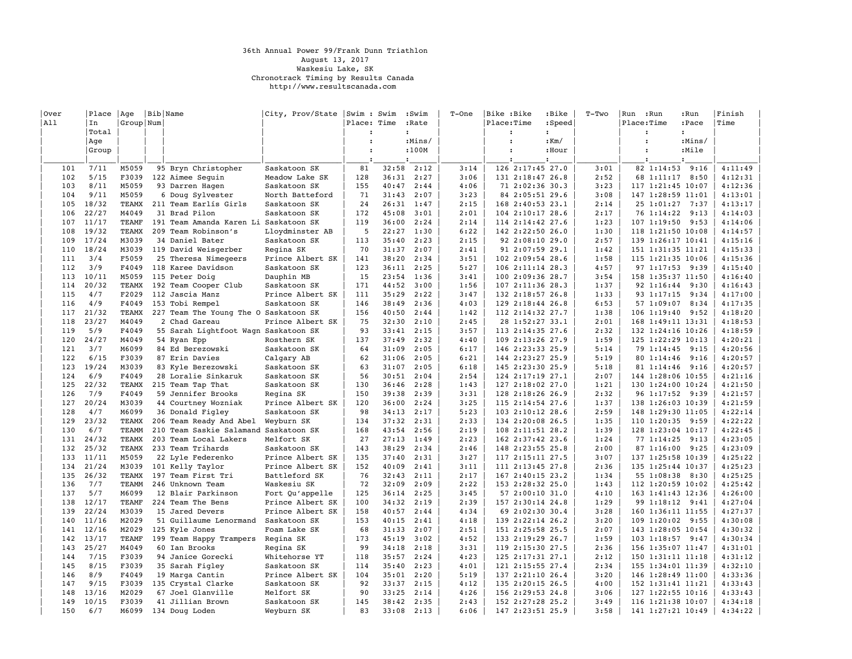## 36th Annual Power 99/Frank Dunn Triathlon August 13, 2017 Waskesiu Lake, SK Chronotrack Timing by Results Canada http://www.resultscanada.com

| Over<br> All | Place<br>In  | Age<br>Group Num | Bib Name                                    | City, Prov/State   Swim : Swim | Place: Time          |                | :Swim<br>:Rate | $T-One$      | Bike :Bike<br>Place:Time | :Bike<br>:Speed                      | $T-TWO$      | :Run<br>Run<br>Place:Time              | :Run<br>:Pace | Finish<br> Time    |
|--------------|--------------|------------------|---------------------------------------------|--------------------------------|----------------------|----------------|----------------|--------------|--------------------------|--------------------------------------|--------------|----------------------------------------|---------------|--------------------|
|              | Total        |                  |                                             |                                |                      |                | $\cdot$        |              | $\cdot$                  | $\mathbf{r}$                         |              | $\cdot$                                |               |                    |
|              | Aqe          |                  |                                             |                                | $\cdot$              |                | :Mins/         |              | $\ddot{\phantom{a}}$     | $:$ Km $/$                           |              | $\ddot{\phantom{a}}$                   | :Mins/        |                    |
|              | Group        |                  |                                             |                                | $\ddot{\phantom{a}}$ |                | :100M          |              | $\ddot{\phantom{a}}$     | :Hour                                |              | $\ddot{\phantom{a}}$                   | :Mile         |                    |
|              |              |                  |                                             |                                |                      |                |                |              |                          |                                      |              |                                        |               |                    |
| 101          | 7/11         | M5059            | 95 Bryn Christopher                         | Saskatoon SK                   | 81                   | 32:58          | 2:12           | 3:14         |                          | 126 2:17:45 27.0                     | 3:01         | 82 1:14:53 9:16                        |               | 4:11:49            |
| 102          | 5/15         | F3039            | 122 Aimee Sequin                            | Meadow Lake SK                 | 128                  |                | $36:31$ $2:27$ | 3:06         |                          | 131 2:18:47 26.8                     | 2:52         | 68 1:11:17 8:50                        |               | 4:12:31            |
| 103          | 8/11         | M5059            | 93 Darren Hagen                             | Saskatoon SK                   | 155                  | 40:47          | 2:44           | 4:06         |                          | 71 2:02:36 30.3                      | 3:23         | 117 1:21:45 10:07                      |               | 4:12:36            |
| 104          | 9/11         | M5059            | 6 Doug Sylvester                            | North Batteford                | 71                   | 31:43          | 2:07           | 3:23         |                          | 84 2:05:51 29.6                      | 3:08         | 147 1:28:59 11:01                      |               | 4:13:01            |
| 105          | 18/32        | TEAMX            | 211 Team Earlís Girls                       | Saskatoon SK                   | 24                   |                | 26:31 1:47     | 2:15         |                          | 168 2:40:53 23.1                     | 2:14         | 25 1:01:27 7:37                        |               | 4:13:17            |
| 106          | 22/27        | M4049            | 31 Brad Pilon                               | Saskatoon SK                   | 172                  | 45:08          | 3:01           | 2:01         |                          | 104 2:10:17 28.6                     | 2:17         | 76 1:14:22                             | 9:13          | 4:14:03            |
| 107          | 11/17        | <b>TEAMF</b>     | 191 Team Amanda Karen Li                    | Saskatoon SK                   | 119                  | 36:00          | 2:24           | 2:14         |                          | 114 2:14:42 27.6                     | 1:23         | $107$ $1:19:50$                        | 9:53          | 4:14:06            |
| 108          | 19/32        | TEAMX            | 209 Team Robinson's                         | Lloydminster AB                | 5                    | 22:27          | 1:30           | 6:22         |                          | 142 2:22:50 26.0                     | 1:30         | 118 1:21:50 10:08                      |               | 4:14:57            |
| 109          | 17/24        | M3039            | 34 Daniel Bater                             | Saskatoon SK                   | 113                  | 35:40          | 2:23           | 2:15         |                          | 92 2:08:10 29.0                      | 2:57         | 139 1:26:17 10:41                      |               | 4:15:16            |
| 110          | 18/24        | M3039            | 119 David Weisgerber                        | Regina SK                      | 70                   | 31:37          | 2:07           | 2:41         |                          | 91 2:07:59 29.1                      | 1:42         | 151 1:31:35 11:21                      |               | 4:15:33            |
| 111          | 3/4          | F5059            | 25 Theresa Nimegeers                        | Prince Albert SK               | 141                  | 38:20          | 2:34           | 3:51         |                          | 102 2:09:54 28.6                     | 1:58         | 115 1:21:35 10:06                      |               | 4:15:36            |
| 112          | 3/9          | F4049            | 118 Karee Davidson                          | Saskatoon SK                   | 123                  | 36:11          | 2:25           | 5:27         |                          | 106 2:11:14 28.3                     | 4:57         | 97 1:17:53 9:39                        |               | 4:15:40            |
| 113          | 10/11        | M5059            | 115 Peter Doig                              | Dauphin MB                     | 15                   | 23:54          | 1:36           | 3:41         |                          | 100 2:09:36 28.7                     | 3:54         | 158 1:35:37 11:50                      |               | 4:16:40            |
| 114          | 20/32        | TEAMX            | 192 Team Cooper Club                        | Saskatoon SK                   | 171                  | 44:52          | 3:00           | 1:56         |                          | 107 2:11:36 28.3                     | 1:37         | 92 1:16:44 9:30                        |               | 4:16:43            |
| 115          | 4/7          | F2029            | 112 Jascia Manz                             | Prince Albert SK               | 111                  | 35:29          | 2:22           | 3:47         |                          | 132 2:18:57 26.8                     | 1:33         | 93 1:17:15                             | 9:34          | 4:17:00            |
| 116          | 4/9          | F4049            | 153 Tobi Rempel                             | Saskatoon SK                   | 146                  | 38:49          | 2:36           | 4:03         |                          | 129 2:18:44 26.8                     | 6:53         | 57 1:09:07                             | 8:34          | 4:17:35            |
| 117          | 21/32        | <b>TEAMX</b>     | 227 Team The Young The O Saskatoon SK       |                                | 156                  | 40:50          | 2:44           | 1:42         |                          | 112 2:14:32 27.7                     | 1:38         | 106 1:19:40 9:52                       |               | 4:18:20            |
| 118          | 23/27        | M4049            | 2 Chad Gareau                               | Prince Albert SK               | 75                   | 32:30          | 2:10           | 2:45         |                          | 28 1:52:27 33.1                      | 2:01         | 168 1:49:11 13:31                      |               | 4:18:53            |
| 119          | 5/9          | F4049            | 55 Sarah Lightfoot Wagn Saskatoon SK        |                                | 93                   | 33:41          | 2:15           | 3:57         |                          | 113 2:14:35 27.6                     | 2:32         | 132 1:24:16 10:26                      |               | 4:18:59            |
| 120          | 24/27        | M4049            | 54 Ryan Epp                                 | Rosthern SK                    | 137                  | 37:49          | 2:32           | 4:40         |                          | 109 2:13:26 27.9                     | 1:59         | 125 1:22:29 10:13                      |               | 4:20:21            |
| 121          | 3/7          | M6099            | 84 Ed Berezowski                            | Saskatoon SK                   | 64                   | 31:09          | 2:05           | 6:17         |                          | 146 2:23:33 25.9                     | 5:14         | 79 1:14:45 9:15                        |               | 4:20:56            |
| 122          | 6/15         | F3039            | 87 Erin Davies                              | Calgary AB                     | 62                   | 31:06          | 2:05           | 6:21         |                          | 144 2:23:27 25.9                     | 5:19         | 80 1:14:46                             | 9:16          | 4:20:57            |
| 123          | 19/24        | M3039            | 83 Kyle Berezowski                          | Saskatoon SK                   | 63                   | 31:07          | 2:05           | 6:18         |                          | 145 2:23:30 25.9                     | 5:18         | 81 1:14:46 9:16                        |               | 4:20:57            |
| 124          | 6/9          | F4049            | 28 Loralie Sinkaruk                         | Saskatoon SK                   | 56                   | 30:51          | 2:04           | 2:54         |                          | 124 2:17:19 27.1                     | 2:07         | 144 1:28:06 10:55                      |               | 4:21:16            |
| 125          | 22/32        | TEAMX            | 215 Team Tap That                           | Saskatoon SK                   | 130                  | 36:46          | 2:28           | 1:43         |                          | 127 2:18:02 27.0                     | 1:21         | 130 1:24:00 10:24                      |               | 4:21:50            |
| 126          | 7/9<br>20/24 | F4049            | 59 Jennifer Brooks                          | Regina SK                      | 150                  | 39:38          | 2:39           | 3:31         |                          | 128 2:18:26 26.9                     | 2:32         | 96 1:17:52 9:39                        |               | 4:21:57            |
| 127<br>128   | 4/7          | M3039<br>M6099   | 44 Courtney Wozniak                         | Prince Albert SK               | 120<br>98            | 36:00<br>34:13 | 2:24<br>2:17   | 3:25<br>5:23 |                          | 115 2:14:54 27.6<br>103 2:10:12 28.6 | 1:37<br>2:59 | 138 1:26:03 10:39<br>148 1:29:30 11:05 |               | 4:21:59<br>4:22:14 |
| 129          | 23/32        | TEAMX            | 36 Donald Figley<br>206 Team Ready And Abel | Saskatoon SK<br>Weyburn SK     | 134                  | 37:32          | 2:31           | 2:33         |                          | 134 2:20:08 26.5                     | 1:35         | 110 1:20:35 9:59                       |               | 4:22:22            |
| 130          | 6/7          | TEAMM            | 210 Team Saskie Salamand                    | Saskatoon SK                   | 168                  | 43:54          | 2:56           | 2:19         |                          | 108 2:11:51 28.2                     | 1:39         | 128 1:23:04 10:17                      |               | 4:22:45            |
| 131          | 24/32        | <b>TEAMX</b>     | 203 Team Local Lakers                       | Melfort SK                     | 27                   | 27:13          | 1:49           | 2:23         |                          | 162 2:37:42 23.6                     | 1:24         | 77 1:14:25                             | 9:13          | 4:23:05            |
| 132          | 25/32        | TEAMX            | 233 Team Trihards                           | Saskatoon SK                   | 143                  | 38:29          | 2:34           | 2:46         |                          | 148 2:23:55 25.8                     | 2:00         | 87 1:16:00 9:25                        |               | 4:23:09            |
| 133          | 11/11        | M5059            | 22 Lyle Federenko                           | Prince Albert SK               | 135                  | 37:40          | 2:31           | 3:27         |                          | 117 2:15:11 27.5                     | 3:07         | 137 1:25:58 10:39                      |               | 4:25:22            |
| 134          | 21/24        | M3039            | 101 Kelly Taylor                            | Prince Albert SK               | 152                  | 40:09          | 2:41           | 3:11         |                          | 111 2:13:45 27.8                     | 2:36         | 135 1:25:44 10:37                      |               | 4:25:23            |
| 135          | 26/32        | <b>TEAMX</b>     | 197 Team First Tri                          | Battleford SK                  | 76                   | 32:43          | 2:11           | 2:17         |                          | 167 2:40:15 23.2                     | 1:34         | 55 1:08:38 8:30                        |               | 4:25:25            |
| 136          | 7/7          | TEAMM            | 246 Unknown Team                            | Waskesiu SK                    | 72                   | 32:09          | 2:09           | 2:22         |                          | 153 2:28:32 25.0                     | 1:43         | 112 1:20:59 10:02                      |               | 4:25:42            |
| 137          | 5/7          | M6099            | 12 Blair Parkinson                          | Fort Qu'appelle                | 125                  | 36:14          | 2:25           | 3:45         |                          | 57 2:00:10 31.0                      | 4:10         | 163 1:41:43 12:36                      |               | 4:26:00            |
| 138          | 12/17        | TEAMF            | 224 Team The Bens                           | Prince Albert SK               | 100                  | 34:32          | 2:19           | 2:39         |                          | 157 2:30:14 24.8                     | 1:29         | 99 1:18:12 9:41                        |               | 4:27:04            |
| 139          | 22/24        | M3039            | 15 Jared Devers                             | Prince Albert SK               | 158                  | 40:57          | 2:44           | 4:34         |                          | 69 2:02:30 30.4                      | 3:28         | 160 1:36:11 11:55                      |               | 4:27:37            |
| 140          | 11/16        | M2029            | 51 Guillaume Lenormand                      | Saskatoon SK                   | 153                  | 40:15          | 2:41           | 4:18         |                          | 139 2:22:14 26.2                     | 3:20         | 109 1:20:02 9:55                       |               | 4:30:08            |
| 141          | 12/16        | M2029            | 125 Kyle Jones                              | Foam Lake SK                   | 68                   | 31:33          | 2:07           | 2:51         |                          | 151 2:25:58 25.5                     | 2:07         | 143 1:28:05 10:54                      |               | 4:30:32            |
| 142          | 13/17        | TEAMF            | 199 Team Happy Trampers                     | Regina SK                      | 173                  | 45:19          | 3:02           | 4:52         |                          | 133 2:19:29 26.7                     | 1:59         | 103 1:18:57 9:47                       |               | 4:30:34            |
| 143          | 25/27        | M4049            | 60 Ian Brooks                               | Regina SK                      | 99                   | 34:18          | 2:18           | 3:31         |                          | 119 2:15:30 27.5                     | 2:36         | 156 1:35:07 11:47                      |               | 4:31:01            |
| 144          | 7/15         | F3039            | 94 Janice Gorecki                           | Whitehorse YT                  | 118                  | 35:57          | 2:24           | 4:23         |                          | 125 2:17:31 27.1                     | 2:12         | 150 1:31:11 11:18                      |               | 4:31:12            |
| 145          | 8/15         | F3039            | 35 Sarah Figley                             | Saskatoon SK                   | 114                  | 35:40          | 2:23           | 4:01         |                          | 121 2:15:55 27.4                     | 2:34         | 155 1:34:01 11:39                      |               | 4:32:10            |
| 146          | 8/9          | F4049            | 19 Marga Cantin                             | Prince Albert SK               | 104                  | 35:01          | 2:20           | 5:19         |                          | 137 2:21:10 26.4                     | 3:20         | 146 1:28:49 11:00                      |               | 4:33:36            |
| 147          | 9/15         | F3039            | 135 Crystal Clarke                          | Saskatoon SK                   | 92                   | 33:37          | 2:15           | 4:12         |                          | 135 2:20:15 26.5                     | 4:00         | 152 1:31:41 11:21                      |               | 4:33:43            |
| 148          | 13/16        | M2029            | 67 Joel Glanville                           | Melfort SK                     | 90                   | 33:25          | 2:14           | 4:26         |                          | 156 2:29:53 24.8                     | 3:06         | 127 1:22:55 10:16                      |               | 4:33:43            |
| 149          | 10/15        | F3039            | 41 Jillian Brown                            | Saskatoon SK                   | 145                  | 38:42          | 2:35           | 2:43         |                          | 152 2:27:28 25.2                     | 3:49         | 116 1:21:38 10:07                      |               | 4:34:18            |
| 150          | 6/7          | M6099            | 134 Doug Loden                              | Weyburn SK                     | 83                   | 33:08          | 2:13           | 6:06         |                          | 147 2:23:51 25.9                     | 3:58         | 141 1:27:21 10:49                      |               | 4:34:22            |